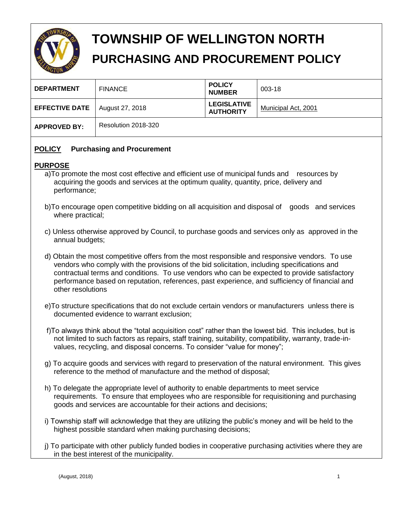

# **TOWNSHIP OF WELLINGTON NORTH PURCHASING AND PROCUREMENT POLICY**

|                       |                     | <b>POLICY</b>                          |                     |
|-----------------------|---------------------|----------------------------------------|---------------------|
| <b>DEPARTMENT</b>     | <b>FINANCE</b>      | <b>NUMBER</b>                          | 003-18              |
| <b>EFFECTIVE DATE</b> | August 27, 2018     | <b>LEGISLATIVE</b><br><b>AUTHORITY</b> | Municipal Act, 2001 |
| <b>APPROVED BY:</b>   | Resolution 2018-320 |                                        |                     |

# **POLICY Purchasing and Procurement**

# **PURPOSE**

- a)To promote the most cost effective and efficient use of municipal funds and resources by acquiring the goods and services at the optimum quality, quantity, price, delivery and performance;
- b)To encourage open competitive bidding on all acquisition and disposal of goods and services where practical;
- c) Unless otherwise approved by Council, to purchase goods and services only as approved in the annual budgets;
- d) Obtain the most competitive offers from the most responsible and responsive vendors. To use vendors who comply with the provisions of the bid solicitation, including specifications and contractual terms and conditions. To use vendors who can be expected to provide satisfactory performance based on reputation, references, past experience, and sufficiency of financial and other resolutions
- e)To structure specifications that do not exclude certain vendors or manufacturers unless there is documented evidence to warrant exclusion;
- f)To always think about the "total acquisition cost" rather than the lowest bid. This includes, but is not limited to such factors as repairs, staff training, suitability, compatibility, warranty, trade-invalues, recycling, and disposal concerns. To consider "value for money";
- g) To acquire goods and services with regard to preservation of the natural environment. This gives reference to the method of manufacture and the method of disposal;
- h) To delegate the appropriate level of authority to enable departments to meet service requirements. To ensure that employees who are responsible for requisitioning and purchasing goods and services are accountable for their actions and decisions;
- i) Township staff will acknowledge that they are utilizing the public's money and will be held to the highest possible standard when making purchasing decisions;
- j) To participate with other publicly funded bodies in cooperative purchasing activities where they are in the best interest of the municipality.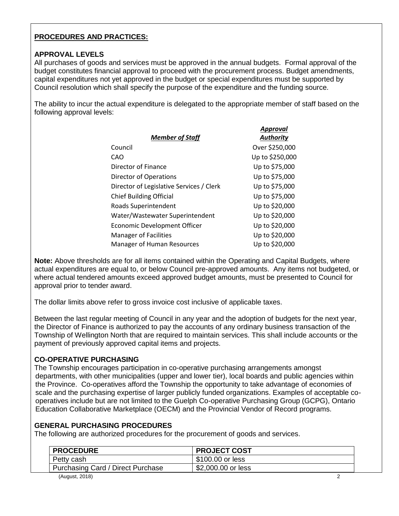# **PROCEDURES AND PRACTICES:**

# **APPROVAL LEVELS**

All purchases of goods and services must be approved in the annual budgets. Formal approval of the budget constitutes financial approval to proceed with the procurement process. Budget amendments, capital expenditures not yet approved in the budget or special expenditures must be supported by Council resolution which shall specify the purpose of the expenditure and the funding source.

The ability to incur the actual expenditure is delegated to the appropriate member of staff based on the following approval levels:

|                                          | Approval        |
|------------------------------------------|-----------------|
| <b>Member of Staff</b>                   | Authority       |
| Council                                  | Over \$250,000  |
| CAO                                      | Up to \$250,000 |
| Director of Finance                      | Up to \$75,000  |
| Director of Operations                   | Up to \$75,000  |
| Director of Legislative Services / Clerk | Up to \$75,000  |
| <b>Chief Building Official</b>           | Up to \$75,000  |
| Roads Superintendent                     | Up to \$20,000  |
| Water/Wastewater Superintendent          | Up to \$20,000  |
| Economic Development Officer             | Up to \$20,000  |
| <b>Manager of Facilities</b>             | Up to \$20,000  |
| <b>Manager of Human Resources</b>        | Up to \$20,000  |

**Note:** Above thresholds are for all items contained within the Operating and Capital Budgets, where actual expenditures are equal to, or below Council pre-approved amounts. Any items not budgeted, or where actual tendered amounts exceed approved budget amounts, must be presented to Council for approval prior to tender award.

The dollar limits above refer to gross invoice cost inclusive of applicable taxes.

Between the last regular meeting of Council in any year and the adoption of budgets for the next year, the Director of Finance is authorized to pay the accounts of any ordinary business transaction of the Township of Wellington North that are required to maintain services. This shall include accounts or the payment of previously approved capital items and projects.

#### **CO-OPERATIVE PURCHASING**

The Township encourages participation in co-operative purchasing arrangements amongst departments, with other municipalities (upper and lower tier), local boards and public agencies within the Province. Co-operatives afford the Township the opportunity to take advantage of economies of scale and the purchasing expertise of larger publicly funded organizations. Examples of acceptable cooperatives include but are not limited to the Guelph Co-operative Purchasing Group (GCPG), Ontario Education Collaborative Marketplace (OECM) and the Provincial Vendor of Record programs.

#### **GENERAL PURCHASING PROCEDURES**

The following are authorized procedures for the procurement of goods and services.

| <b>PROCEDURE</b>                         | <b>PROJECT COST</b> |  |
|------------------------------------------|---------------------|--|
| Petty cash                               | \$100.00 or less    |  |
| <b>Purchasing Card / Direct Purchase</b> | \$2,000.00 or less  |  |
| (August, 2018)                           |                     |  |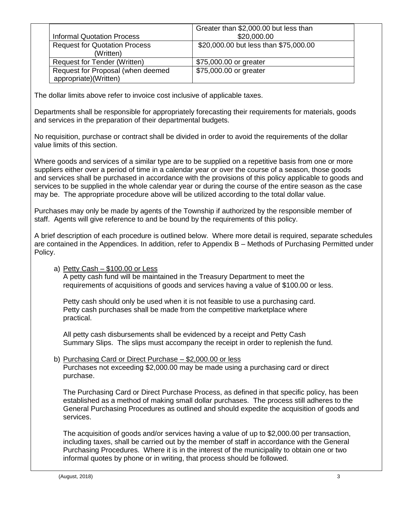|                                      | Greater than \$2,000.00 but less than |
|--------------------------------------|---------------------------------------|
| <b>Informal Quotation Process</b>    | \$20,000.00                           |
| <b>Request for Quotation Process</b> | \$20,000.00 but less than \$75,000.00 |
| (Written)                            |                                       |
| Request for Tender (Written)         | \$75,000.00 or greater                |
| Request for Proposal (when deemed    | \$75,000.00 or greater                |
| appropriate)(Written)                |                                       |

The dollar limits above refer to invoice cost inclusive of applicable taxes.

Departments shall be responsible for appropriately forecasting their requirements for materials, goods and services in the preparation of their departmental budgets.

No requisition, purchase or contract shall be divided in order to avoid the requirements of the dollar value limits of this section.

Where goods and services of a similar type are to be supplied on a repetitive basis from one or more suppliers either over a period of time in a calendar year or over the course of a season, those goods and services shall be purchased in accordance with the provisions of this policy applicable to goods and services to be supplied in the whole calendar year or during the course of the entire season as the case may be. The appropriate procedure above will be utilized according to the total dollar value.

Purchases may only be made by agents of the Township if authorized by the responsible member of staff. Agents will give reference to and be bound by the requirements of this policy.

A brief description of each procedure is outlined below. Where more detail is required, separate schedules are contained in the Appendices. In addition, refer to Appendix B – Methods of Purchasing Permitted under Policy.

#### a) Petty Cash – \$100.00 or Less

A petty cash fund will be maintained in the Treasury Department to meet the requirements of acquisitions of goods and services having a value of \$100.00 or less.

Petty cash should only be used when it is not feasible to use a purchasing card. Petty cash purchases shall be made from the competitive marketplace where practical.

All petty cash disbursements shall be evidenced by a receipt and Petty Cash Summary Slips. The slips must accompany the receipt in order to replenish the fund.

#### b) Purchasing Card or Direct Purchase – \$2,000.00 or less Purchases not exceeding \$2,000.00 may be made using a purchasing card or direct purchase.

The Purchasing Card or Direct Purchase Process, as defined in that specific policy, has been established as a method of making small dollar purchases. The process still adheres to the General Purchasing Procedures as outlined and should expedite the acquisition of goods and services.

The acquisition of goods and/or services having a value of up to \$2,000.00 per transaction, including taxes, shall be carried out by the member of staff in accordance with the General Purchasing Procedures. Where it is in the interest of the municipality to obtain one or two informal quotes by phone or in writing, that process should be followed.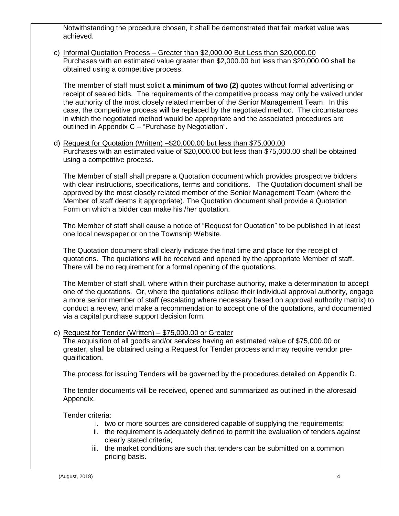Notwithstanding the procedure chosen, it shall be demonstrated that fair market value was achieved.

c) Informal Quotation Process – Greater than \$2,000.00 But Less than \$20,000.00 Purchases with an estimated value greater than \$2,000.00 but less than \$20,000.00 shall be obtained using a competitive process.

The member of staff must solicit **a minimum of two (2)** quotes without formal advertising or receipt of sealed bids. The requirements of the competitive process may only be waived under the authority of the most closely related member of the Senior Management Team. In this case, the competitive process will be replaced by the negotiated method. The circumstances in which the negotiated method would be appropriate and the associated procedures are outlined in Appendix C – "Purchase by Negotiation".

d) Request for Quotation (Written) –\$20,000.00 but less than \$75,000.00 Purchases with an estimated value of \$20,000.00 but less than \$75,000.00 shall be obtained using a competitive process.

The Member of staff shall prepare a Quotation document which provides prospective bidders with clear instructions, specifications, terms and conditions. The Quotation document shall be approved by the most closely related member of the Senior Management Team (where the Member of staff deems it appropriate). The Quotation document shall provide a Quotation Form on which a bidder can make his /her quotation.

The Member of staff shall cause a notice of "Request for Quotation" to be published in at least one local newspaper or on the Township Website.

The Quotation document shall clearly indicate the final time and place for the receipt of quotations. The quotations will be received and opened by the appropriate Member of staff. There will be no requirement for a formal opening of the quotations.

The Member of staff shall, where within their purchase authority, make a determination to accept one of the quotations. Or, where the quotations eclipse their individual approval authority, engage a more senior member of staff (escalating where necessary based on approval authority matrix) to conduct a review, and make a recommendation to accept one of the quotations, and documented via a capital purchase support decision form.

e) Request for Tender (Written) – \$75,000.00 or Greater

The acquisition of all goods and/or services having an estimated value of \$75,000.00 or greater, shall be obtained using a Request for Tender process and may require vendor prequalification.

The process for issuing Tenders will be governed by the procedures detailed on Appendix D.

The tender documents will be received, opened and summarized as outlined in the aforesaid Appendix.

Tender criteria:

- i. two or more sources are considered capable of supplying the requirements;
- ii. the requirement is adequately defined to permit the evaluation of tenders against clearly stated criteria;
- iii. the market conditions are such that tenders can be submitted on a common pricing basis.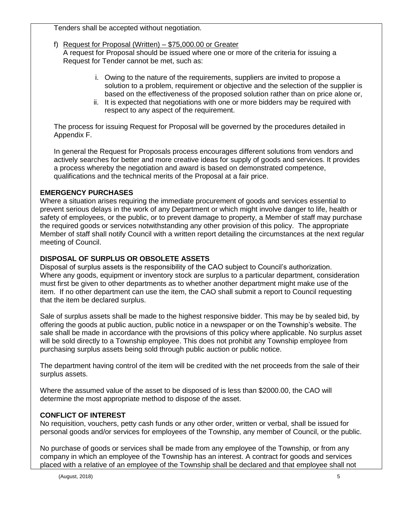Tenders shall be accepted without negotiation.

# f) Request for Proposal (Written) – \$75,000.00 or Greater

A request for Proposal should be issued where one or more of the criteria for issuing a Request for Tender cannot be met, such as:

- i. Owing to the nature of the requirements, suppliers are invited to propose a solution to a problem, requirement or objective and the selection of the supplier is based on the effectiveness of the proposed solution rather than on price alone or,
- ii. It is expected that negotiations with one or more bidders may be required with respect to any aspect of the requirement.

The process for issuing Request for Proposal will be governed by the procedures detailed in Appendix F.

In general the Request for Proposals process encourages different solutions from vendors and actively searches for better and more creative ideas for supply of goods and services. It provides a process whereby the negotiation and award is based on demonstrated competence, qualifications and the technical merits of the Proposal at a fair price.

# **EMERGENCY PURCHASES**

Where a situation arises requiring the immediate procurement of goods and services essential to prevent serious delays in the work of any Department or which might involve danger to life, health or safety of employees, or the public, or to prevent damage to property, a Member of staff may purchase the required goods or services notwithstanding any other provision of this policy. The appropriate Member of staff shall notify Council with a written report detailing the circumstances at the next regular meeting of Council.

## **DISPOSAL OF SURPLUS OR OBSOLETE ASSETS**

Disposal of surplus assets is the responsibility of the CAO subject to Council's authorization. Where any goods, equipment or inventory stock are surplus to a particular department, consideration must first be given to other departments as to whether another department might make use of the item. If no other department can use the item, the CAO shall submit a report to Council requesting that the item be declared surplus.

Sale of surplus assets shall be made to the highest responsive bidder. This may be by sealed bid, by offering the goods at public auction, public notice in a newspaper or on the Township's website. The sale shall be made in accordance with the provisions of this policy where applicable. No surplus asset will be sold directly to a Township employee. This does not prohibit any Township employee from purchasing surplus assets being sold through public auction or public notice.

The department having control of the item will be credited with the net proceeds from the sale of their surplus assets.

Where the assumed value of the asset to be disposed of is less than \$2000.00, the CAO will determine the most appropriate method to dispose of the asset.

#### **CONFLICT OF INTEREST**

No requisition, vouchers, petty cash funds or any other order, written or verbal, shall be issued for personal goods and/or services for employees of the Township, any member of Council, or the public.

No purchase of goods or services shall be made from any employee of the Township, or from any company in which an employee of the Township has an interest. A contract for goods and services placed with a relative of an employee of the Township shall be declared and that employee shall not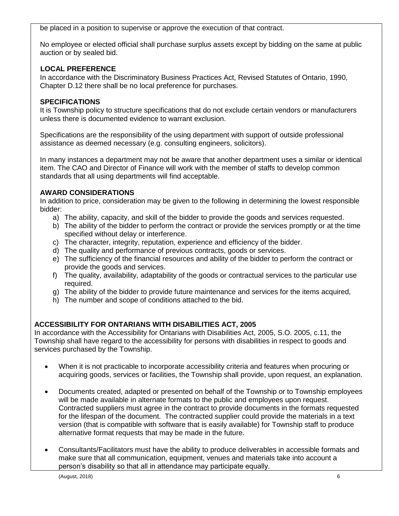be placed in a position to supervise or approve the execution of that contract.

No employee or elected official shall purchase surplus assets except by bidding on the same at public auction or by sealed bid.

# **LOCAL PREFERENCE**

In accordance with the Discriminatory Business Practices Act, Revised Statutes of Ontario, 1990, Chapter D.12 there shall be no local preference for purchases.

# **SPECIFICATIONS**

It is Township policy to structure specifications that do not exclude certain vendors or manufacturers unless there is documented evidence to warrant exclusion.

Specifications are the responsibility of the using department with support of outside professional assistance as deemed necessary (e.g. consulting engineers, solicitors).

In many instances a department may not be aware that another department uses a similar or identical item. The CAO and Director of Finance will work with the member of staffs to develop common standards that all using departments will find acceptable.

# **AWARD CONSIDERATIONS**

In addition to price, consideration may be given to the following in determining the lowest responsible bidder:

- a) The ability, capacity, and skill of the bidder to provide the goods and services requested.
- b) The ability of the bidder to perform the contract or provide the services promptly or at the time specified without delay or interference.
- c) The character, integrity, reputation, experience and efficiency of the bidder.
- d) The quality and performance of previous contracts, goods or services.
- e) The sufficiency of the financial resources and ability of the bidder to perform the contract or provide the goods and services.
- f) The quality, availability, adaptability of the goods or contractual services to the particular use required.
- g) The ability of the bidder to provide future maintenance and services for the items acquired,
- h) The number and scope of conditions attached to the bid.

# **ACCESSIBILITY FOR ONTARIANS WITH DISABILITIES ACT, 2005**

In accordance with the Accessibility for Ontarians with Disabilities Act, 2005, S.O. 2005, c.11, the Township shall have regard to the accessibility for persons with disabilities in respect to goods and services purchased by the Township.

- When it is not practicable to incorporate accessibility criteria and features when procuring or acquiring goods, services or facilities, the Township shall provide, upon request, an explanation.
- Documents created, adapted or presented on behalf of the Township or to Township employees will be made available in alternate formats to the public and employees upon request. Contracted suppliers must agree in the contract to provide documents in the formats requested for the lifespan of the document. The contracted supplier could provide the materials in a text version (that is compatible with software that is easily available) for Township staff to produce alternative format requests that may be made in the future.
- Consultants/Facilitators must have the ability to produce deliverables in accessible formats and make sure that all communication, equipment, venues and materials take into account a person's disability so that all in attendance may participate equally.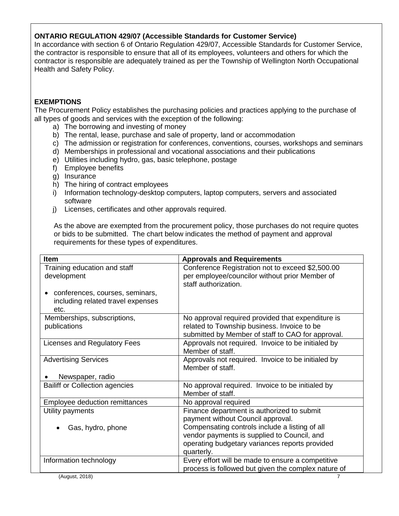# **ONTARIO REGULATION 429/07 (Accessible Standards for Customer Service)**

In accordance with section 6 of Ontario Regulation 429/07, Accessible Standards for Customer Service, the contractor is responsible to ensure that all of its employees, volunteers and others for which the contractor is responsible are adequately trained as per the Township of Wellington North Occupational Health and Safety Policy.

# **EXEMPTIONS**

The Procurement Policy establishes the purchasing policies and practices applying to the purchase of all types of goods and services with the exception of the following:

- a) The borrowing and investing of money
- b) The rental, lease, purchase and sale of property, land or accommodation
- c) The admission or registration for conferences, conventions, courses, workshops and seminars
- d) Memberships in professional and vocational associations and their publications
- e) Utilities including hydro, gas, basic telephone, postage
- f) Employee benefits
- g) Insurance
- h) The hiring of contract employees
- i) Information technology-desktop computers, laptop computers, servers and associated software
- j) Licenses, certificates and other approvals required.

As the above are exempted from the procurement policy, those purchases do not require quotes or bids to be submitted. The chart below indicates the method of payment and approval requirements for these types of expenditures.

| <b>Item</b>                                 | <b>Approvals and Requirements</b>                                                                  |  |  |
|---------------------------------------------|----------------------------------------------------------------------------------------------------|--|--|
| Training education and staff<br>development | Conference Registration not to exceed \$2,500.00<br>per employee/councilor without prior Member of |  |  |
| conferences, courses, seminars,             | staff authorization.                                                                               |  |  |
| including related travel expenses<br>etc.   |                                                                                                    |  |  |
| Memberships, subscriptions,<br>publications | No approval required provided that expenditure is<br>related to Township business. Invoice to be   |  |  |
|                                             | submitted by Member of staff to CAO for approval.                                                  |  |  |
| Licenses and Regulatory Fees                | Approvals not required. Invoice to be initialed by                                                 |  |  |
|                                             | Member of staff.                                                                                   |  |  |
| <b>Advertising Services</b>                 | Approvals not required. Invoice to be initialed by                                                 |  |  |
|                                             | Member of staff.                                                                                   |  |  |
| Newspaper, radio                            |                                                                                                    |  |  |
| <b>Bailiff or Collection agencies</b>       | No approval required. Invoice to be initialed by<br>Member of staff.                               |  |  |
| Employee deduction remittances              | No approval required                                                                               |  |  |
| Utility payments                            | Finance department is authorized to submit                                                         |  |  |
|                                             | payment without Council approval.                                                                  |  |  |
| Gas, hydro, phone                           | Compensating controls include a listing of all                                                     |  |  |
|                                             | vendor payments is supplied to Council, and                                                        |  |  |
|                                             | operating budgetary variances reports provided                                                     |  |  |
|                                             | quarterly.                                                                                         |  |  |
| Information technology                      | Every effort will be made to ensure a competitive                                                  |  |  |
|                                             | process is followed but given the complex nature of                                                |  |  |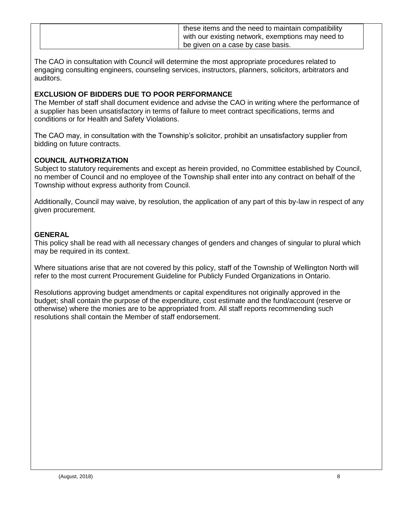| these items and the need to maintain compatibility<br>with our existing network, exemptions may need to<br><sup>1</sup> be given on a case by case basis. |  |
|-----------------------------------------------------------------------------------------------------------------------------------------------------------|--|
|-----------------------------------------------------------------------------------------------------------------------------------------------------------|--|

The CAO in consultation with Council will determine the most appropriate procedures related to engaging consulting engineers, counseling services, instructors, planners, solicitors, arbitrators and auditors.

# **EXCLUSION OF BIDDERS DUE TO POOR PERFORMANCE**

The Member of staff shall document evidence and advise the CAO in writing where the performance of a supplier has been unsatisfactory in terms of failure to meet contract specifications, terms and conditions or for Health and Safety Violations.

The CAO may, in consultation with the Township's solicitor, prohibit an unsatisfactory supplier from bidding on future contracts.

# **COUNCIL AUTHORIZATION**

Subject to statutory requirements and except as herein provided, no Committee established by Council, no member of Council and no employee of the Township shall enter into any contract on behalf of the Township without express authority from Council.

Additionally, Council may waive, by resolution, the application of any part of this by-law in respect of any given procurement.

# **GENERAL**

This policy shall be read with all necessary changes of genders and changes of singular to plural which may be required in its context.

Where situations arise that are not covered by this policy, staff of the Township of Wellington North will refer to the most current Procurement Guideline for Publicly Funded Organizations in Ontario.

Resolutions approving budget amendments or capital expenditures not originally approved in the budget; shall contain the purpose of the expenditure, cost estimate and the fund/account (reserve or otherwise) where the monies are to be appropriated from. All staff reports recommending such resolutions shall contain the Member of staff endorsement.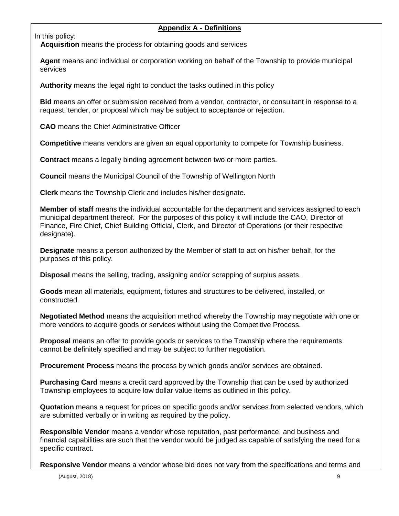# **Appendix A - Definitions**

In this policy:

 **Acquisition** means the process for obtaining goods and services

**Agent** means and individual or corporation working on behalf of the Township to provide municipal services

**Authority** means the legal right to conduct the tasks outlined in this policy

**Bid** means an offer or submission received from a vendor, contractor, or consultant in response to a request, tender, or proposal which may be subject to acceptance or rejection.

**CAO** means the Chief Administrative Officer

**Competitive** means vendors are given an equal opportunity to compete for Township business.

**Contract** means a legally binding agreement between two or more parties.

**Council** means the Municipal Council of the Township of Wellington North

**Clerk** means the Township Clerk and includes his/her designate.

**Member of staff** means the individual accountable for the department and services assigned to each municipal department thereof. For the purposes of this policy it will include the CAO, Director of Finance, Fire Chief, Chief Building Official, Clerk, and Director of Operations (or their respective designate).

**Designate** means a person authorized by the Member of staff to act on his/her behalf, for the purposes of this policy.

**Disposal** means the selling, trading, assigning and/or scrapping of surplus assets.

**Goods** mean all materials, equipment, fixtures and structures to be delivered, installed, or constructed.

**Negotiated Method** means the acquisition method whereby the Township may negotiate with one or more vendors to acquire goods or services without using the Competitive Process.

**Proposal** means an offer to provide goods or services to the Township where the requirements cannot be definitely specified and may be subject to further negotiation.

**Procurement Process** means the process by which goods and/or services are obtained.

**Purchasing Card** means a credit card approved by the Township that can be used by authorized Township employees to acquire low dollar value items as outlined in this policy.

**Quotation** means a request for prices on specific goods and/or services from selected vendors, which are submitted verbally or in writing as required by the policy.

**Responsible Vendor** means a vendor whose reputation, past performance, and business and financial capabilities are such that the vendor would be judged as capable of satisfying the need for a specific contract.

**Responsive Vendor** means a vendor whose bid does not vary from the specifications and terms and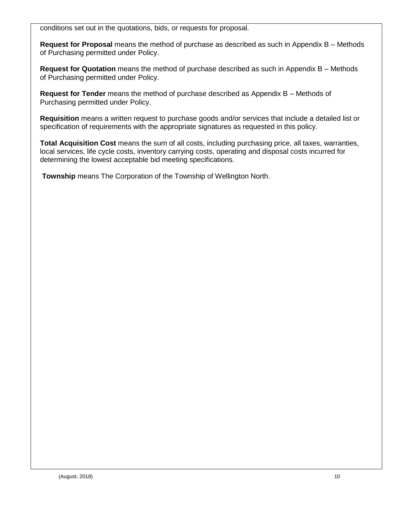conditions set out in the quotations, bids, or requests for proposal.

**Request for Proposal** means the method of purchase as described as such in Appendix B – Methods of Purchasing permitted under Policy.

**Request for Quotation** means the method of purchase described as such in Appendix B – Methods of Purchasing permitted under Policy.

**Request for Tender** means the method of purchase described as Appendix B – Methods of Purchasing permitted under Policy.

**Requisition** means a written request to purchase goods and/or services that include a detailed list or specification of requirements with the appropriate signatures as requested in this policy.

**Total Acquisition Cost** means the sum of all costs, including purchasing price, all taxes, warranties, local services, life cycle costs, inventory carrying costs, operating and disposal costs incurred for determining the lowest acceptable bid meeting specifications.

**Township** means The Corporation of the Township of Wellington North.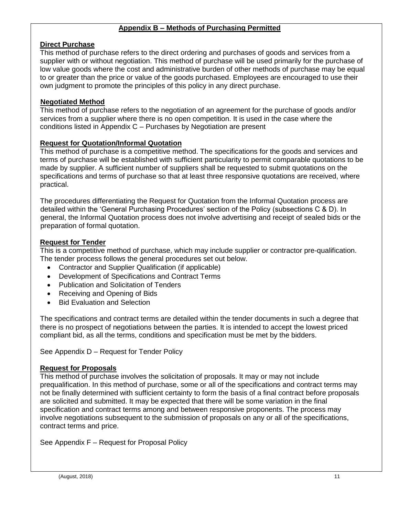#### **Appendix B – Methods of Purchasing Permitted**

# **Direct Purchase**

This method of purchase refers to the direct ordering and purchases of goods and services from a supplier with or without negotiation. This method of purchase will be used primarily for the purchase of low value goods where the cost and administrative burden of other methods of purchase may be equal to or greater than the price or value of the goods purchased. Employees are encouraged to use their own judgment to promote the principles of this policy in any direct purchase.

# **Negotiated Method**

This method of purchase refers to the negotiation of an agreement for the purchase of goods and/or services from a supplier where there is no open competition. It is used in the case where the conditions listed in Appendix C – Purchases by Negotiation are present

#### **Request for Quotation/Informal Quotation**

This method of purchase is a competitive method. The specifications for the goods and services and terms of purchase will be established with sufficient particularity to permit comparable quotations to be made by supplier. A sufficient number of suppliers shall be requested to submit quotations on the specifications and terms of purchase so that at least three responsive quotations are received, where practical.

The procedures differentiating the Request for Quotation from the Informal Quotation process are detailed within the 'General Purchasing Procedures' section of the Policy (subsections C & D). In general, the Informal Quotation process does not involve advertising and receipt of sealed bids or the preparation of formal quotation.

#### **Request for Tender**

This is a competitive method of purchase, which may include supplier or contractor pre-qualification. The tender process follows the general procedures set out below.

- Contractor and Supplier Qualification (if applicable)
- Development of Specifications and Contract Terms
- Publication and Solicitation of Tenders
- Receiving and Opening of Bids
- Bid Evaluation and Selection

The specifications and contract terms are detailed within the tender documents in such a degree that there is no prospect of negotiations between the parties. It is intended to accept the lowest priced compliant bid, as all the terms, conditions and specification must be met by the bidders.

See Appendix D – Request for Tender Policy

#### **Request for Proposals**

This method of purchase involves the solicitation of proposals. It may or may not include prequalification. In this method of purchase, some or all of the specifications and contract terms may not be finally determined with sufficient certainty to form the basis of a final contract before proposals are solicited and submitted. It may be expected that there will be some variation in the final specification and contract terms among and between responsive proponents. The process may involve negotiations subsequent to the submission of proposals on any or all of the specifications, contract terms and price.

See Appendix F – Request for Proposal Policy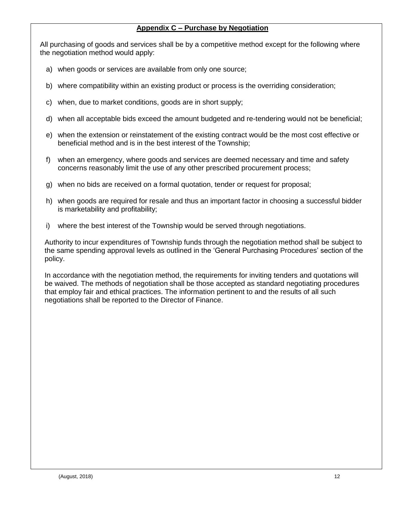# **Appendix C – Purchase by Negotiation**

All purchasing of goods and services shall be by a competitive method except for the following where the negotiation method would apply:

- a) when goods or services are available from only one source;
- b) where compatibility within an existing product or process is the overriding consideration;
- c) when, due to market conditions, goods are in short supply;
- d) when all acceptable bids exceed the amount budgeted and re-tendering would not be beneficial;
- e) when the extension or reinstatement of the existing contract would be the most cost effective or beneficial method and is in the best interest of the Township;
- f) when an emergency, where goods and services are deemed necessary and time and safety concerns reasonably limit the use of any other prescribed procurement process;
- g) when no bids are received on a formal quotation, tender or request for proposal;
- h) when goods are required for resale and thus an important factor in choosing a successful bidder is marketability and profitability;
- i) where the best interest of the Township would be served through negotiations.

Authority to incur expenditures of Township funds through the negotiation method shall be subject to the same spending approval levels as outlined in the 'General Purchasing Procedures' section of the policy.

In accordance with the negotiation method, the requirements for inviting tenders and quotations will be waived. The methods of negotiation shall be those accepted as standard negotiating procedures that employ fair and ethical practices. The information pertinent to and the results of all such negotiations shall be reported to the Director of Finance.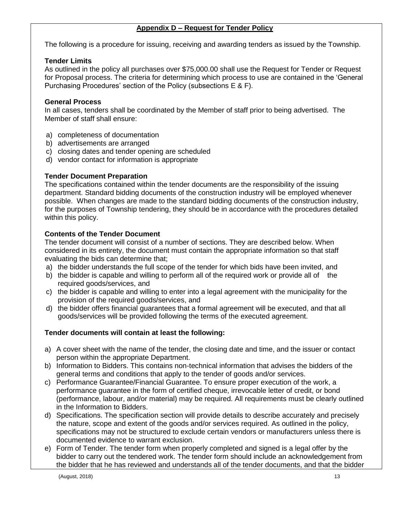## **Appendix D – Request for Tender Policy**

The following is a procedure for issuing, receiving and awarding tenders as issued by the Township.

# **Tender Limits**

As outlined in the policy all purchases over \$75,000.00 shall use the Request for Tender or Request for Proposal process. The criteria for determining which process to use are contained in the 'General Purchasing Procedures' section of the Policy (subsections E & F).

# **General Process**

In all cases, tenders shall be coordinated by the Member of staff prior to being advertised. The Member of staff shall ensure:

- a) completeness of documentation
- b) advertisements are arranged
- c) closing dates and tender opening are scheduled
- d) vendor contact for information is appropriate

# **Tender Document Preparation**

The specifications contained within the tender documents are the responsibility of the issuing department. Standard bidding documents of the construction industry will be employed whenever possible. When changes are made to the standard bidding documents of the construction industry, for the purposes of Township tendering, they should be in accordance with the procedures detailed within this policy.

# **Contents of the Tender Document**

The tender document will consist of a number of sections. They are described below. When considered in its entirety, the document must contain the appropriate information so that staff evaluating the bids can determine that;

- a) the bidder understands the full scope of the tender for which bids have been invited, and
- b) the bidder is capable and willing to perform all of the required work or provide all of the required goods/services, and
- c) the bidder is capable and willing to enter into a legal agreement with the municipality for the provision of the required goods/services, and
- d) the bidder offers financial guarantees that a formal agreement will be executed, and that all goods/services will be provided following the terms of the executed agreement.

# **Tender documents will contain at least the following:**

- a) A cover sheet with the name of the tender, the closing date and time, and the issuer or contact person within the appropriate Department.
- b) Information to Bidders. This contains non-technical information that advises the bidders of the general terms and conditions that apply to the tender of goods and/or services.
- c) Performance Guarantee/Financial Guarantee. To ensure proper execution of the work, a performance guarantee in the form of certified cheque, irrevocable letter of credit, or bond (performance, labour, and/or material) may be required. All requirements must be clearly outlined in the Information to Bidders.
- d) Specifications. The specification section will provide details to describe accurately and precisely the nature, scope and extent of the goods and/or services required. As outlined in the policy, specifications may not be structured to exclude certain vendors or manufacturers unless there is documented evidence to warrant exclusion.
- e) Form of Tender. The tender form when properly completed and signed is a legal offer by the bidder to carry out the tendered work. The tender form should include an acknowledgement from the bidder that he has reviewed and understands all of the tender documents, and that the bidder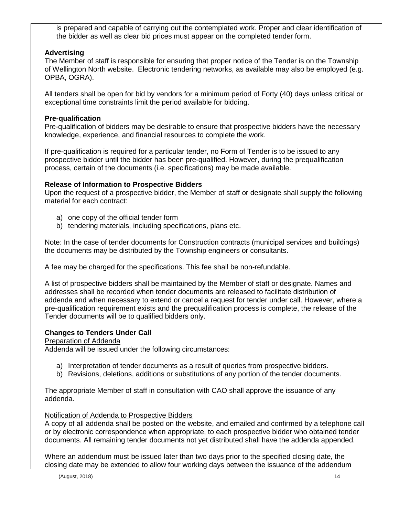is prepared and capable of carrying out the contemplated work. Proper and clear identification of the bidder as well as clear bid prices must appear on the completed tender form.

# **Advertising**

The Member of staff is responsible for ensuring that proper notice of the Tender is on the Township of Wellington North website. Electronic tendering networks, as available may also be employed (e.g. OPBA, OGRA).

All tenders shall be open for bid by vendors for a minimum period of Forty (40) days unless critical or exceptional time constraints limit the period available for bidding.

# **Pre-qualification**

Pre-qualification of bidders may be desirable to ensure that prospective bidders have the necessary knowledge, experience, and financial resources to complete the work.

If pre-qualification is required for a particular tender, no Form of Tender is to be issued to any prospective bidder until the bidder has been pre-qualified. However, during the prequalification process, certain of the documents (i.e. specifications) may be made available.

# **Release of Information to Prospective Bidders**

Upon the request of a prospective bidder, the Member of staff or designate shall supply the following material for each contract:

- a) one copy of the official tender form
- b) tendering materials, including specifications, plans etc.

Note: In the case of tender documents for Construction contracts (municipal services and buildings) the documents may be distributed by the Township engineers or consultants.

A fee may be charged for the specifications. This fee shall be non-refundable.

A list of prospective bidders shall be maintained by the Member of staff or designate. Names and addresses shall be recorded when tender documents are released to facilitate distribution of addenda and when necessary to extend or cancel a request for tender under call. However, where a pre-qualification requirement exists and the prequalification process is complete, the release of the Tender documents will be to qualified bidders only.

# **Changes to Tenders Under Call**

#### Preparation of Addenda

Addenda will be issued under the following circumstances:

- a) Interpretation of tender documents as a result of queries from prospective bidders.
- b) Revisions, deletions, additions or substitutions of any portion of the tender documents.

The appropriate Member of staff in consultation with CAO shall approve the issuance of any addenda.

#### Notification of Addenda to Prospective Bidders

A copy of all addenda shall be posted on the website, and emailed and confirmed by a telephone call or by electronic correspondence when appropriate, to each prospective bidder who obtained tender documents. All remaining tender documents not yet distributed shall have the addenda appended.

Where an addendum must be issued later than two days prior to the specified closing date, the closing date may be extended to allow four working days between the issuance of the addendum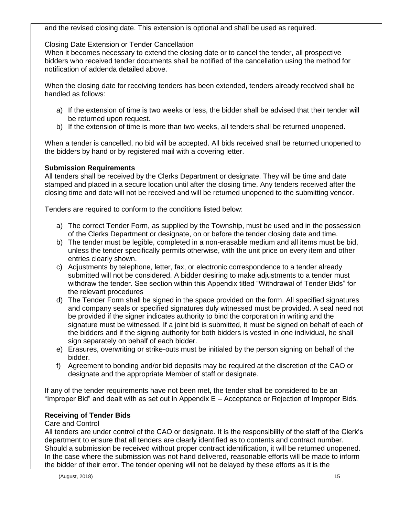and the revised closing date. This extension is optional and shall be used as required.

## Closing Date Extension or Tender Cancellation

When it becomes necessary to extend the closing date or to cancel the tender, all prospective bidders who received tender documents shall be notified of the cancellation using the method for notification of addenda detailed above.

When the closing date for receiving tenders has been extended, tenders already received shall be handled as follows:

- a) If the extension of time is two weeks or less, the bidder shall be advised that their tender will be returned upon request.
- b) If the extension of time is more than two weeks, all tenders shall be returned unopened.

When a tender is cancelled, no bid will be accepted. All bids received shall be returned unopened to the bidders by hand or by registered mail with a covering letter.

# **Submission Requirements**

All tenders shall be received by the Clerks Department or designate. They will be time and date stamped and placed in a secure location until after the closing time. Any tenders received after the closing time and date will not be received and will be returned unopened to the submitting vendor.

Tenders are required to conform to the conditions listed below:

- a) The correct Tender Form, as supplied by the Township, must be used and in the possession of the Clerks Department or designate, on or before the tender closing date and time.
- b) The tender must be legible, completed in a non-erasable medium and all items must be bid, unless the tender specifically permits otherwise, with the unit price on every item and other entries clearly shown.
- c) Adjustments by telephone, letter, fax, or electronic correspondence to a tender already submitted will not be considered. A bidder desiring to make adjustments to a tender must withdraw the tender. See section within this Appendix titled "Withdrawal of Tender Bids" for the relevant procedures
- d) The Tender Form shall be signed in the space provided on the form. All specified signatures and company seals or specified signatures duly witnessed must be provided. A seal need not be provided if the signer indicates authority to bind the corporation in writing and the signature must be witnessed. If a joint bid is submitted, it must be signed on behalf of each of the bidders and if the signing authority for both bidders is vested in one individual, he shall sign separately on behalf of each bidder.
- e) Erasures, overwriting or strike-outs must be initialed by the person signing on behalf of the bidder.
- f) Agreement to bonding and/or bid deposits may be required at the discretion of the CAO or designate and the appropriate Member of staff or designate.

If any of the tender requirements have not been met, the tender shall be considered to be an "Improper Bid" and dealt with as set out in Appendix E – Acceptance or Rejection of Improper Bids.

#### **Receiving of Tender Bids**

#### Care and Control

All tenders are under control of the CAO or designate. It is the responsibility of the staff of the Clerk's department to ensure that all tenders are clearly identified as to contents and contract number. Should a submission be received without proper contract identification, it will be returned unopened. In the case where the submission was not hand delivered, reasonable efforts will be made to inform the bidder of their error. The tender opening will not be delayed by these efforts as it is the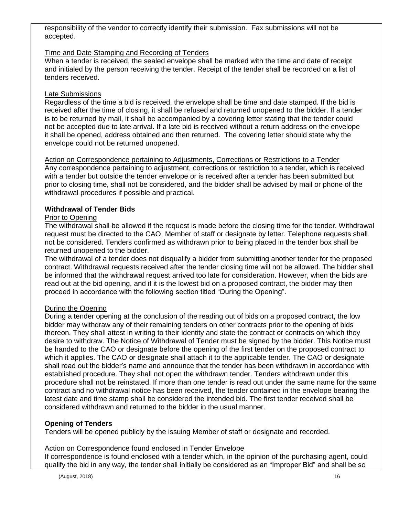responsibility of the vendor to correctly identify their submission. Fax submissions will not be accepted.

# Time and Date Stamping and Recording of Tenders

When a tender is received, the sealed envelope shall be marked with the time and date of receipt and initialed by the person receiving the tender. Receipt of the tender shall be recorded on a list of tenders received.

## Late Submissions

Regardless of the time a bid is received, the envelope shall be time and date stamped. If the bid is received after the time of closing, it shall be refused and returned unopened to the bidder. If a tender is to be returned by mail, it shall be accompanied by a covering letter stating that the tender could not be accepted due to late arrival. If a late bid is received without a return address on the envelope it shall be opened, address obtained and then returned. The covering letter should state why the envelope could not be returned unopened.

#### Action on Correspondence pertaining to Adjustments, Corrections or Restrictions to a Tender Any correspondence pertaining to adjustment, corrections or restriction to a tender, which is received with a tender but outside the tender envelope or is received after a tender has been submitted but prior to closing time, shall not be considered, and the bidder shall be advised by mail or phone of the withdrawal procedures if possible and practical.

# **Withdrawal of Tender Bids**

#### Prior to Opening

The withdrawal shall be allowed if the request is made before the closing time for the tender. Withdrawal request must be directed to the CAO, Member of staff or designate by letter. Telephone requests shall not be considered. Tenders confirmed as withdrawn prior to being placed in the tender box shall be returned unopened to the bidder.

The withdrawal of a tender does not disqualify a bidder from submitting another tender for the proposed contract. Withdrawal requests received after the tender closing time will not be allowed. The bidder shall be informed that the withdrawal request arrived too late for consideration. However, when the bids are read out at the bid opening, and if it is the lowest bid on a proposed contract, the bidder may then proceed in accordance with the following section titled "During the Opening".

#### During the Opening

During a tender opening at the conclusion of the reading out of bids on a proposed contract, the low bidder may withdraw any of their remaining tenders on other contracts prior to the opening of bids thereon. They shall attest in writing to their identity and state the contract or contracts on which they desire to withdraw. The Notice of Withdrawal of Tender must be signed by the bidder. This Notice must be handed to the CAO or designate before the opening of the first tender on the proposed contract to which it applies. The CAO or designate shall attach it to the applicable tender. The CAO or designate shall read out the bidder's name and announce that the tender has been withdrawn in accordance with established procedure. They shall not open the withdrawn tender. Tenders withdrawn under this procedure shall not be reinstated. If more than one tender is read out under the same name for the same contract and no withdrawal notice has been received, the tender contained in the envelope bearing the latest date and time stamp shall be considered the intended bid. The first tender received shall be considered withdrawn and returned to the bidder in the usual manner.

# **Opening of Tenders**

Tenders will be opened publicly by the issuing Member of staff or designate and recorded.

#### Action on Correspondence found enclosed in Tender Envelope

If correspondence is found enclosed with a tender which, in the opinion of the purchasing agent, could qualify the bid in any way, the tender shall initially be considered as an "Improper Bid" and shall be so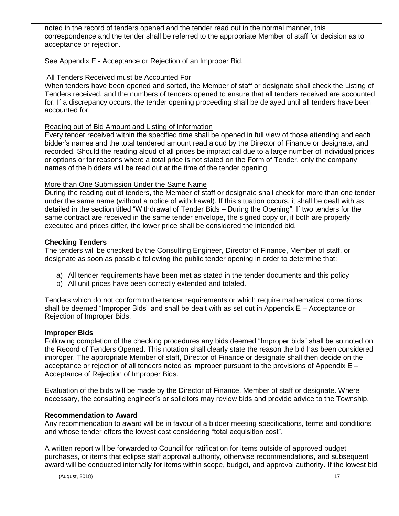noted in the record of tenders opened and the tender read out in the normal manner, this correspondence and the tender shall be referred to the appropriate Member of staff for decision as to acceptance or rejection.

See Appendix E - Acceptance or Rejection of an Improper Bid.

# All Tenders Received must be Accounted For

When tenders have been opened and sorted, the Member of staff or designate shall check the Listing of Tenders received, and the numbers of tenders opened to ensure that all tenders received are accounted for. If a discrepancy occurs, the tender opening proceeding shall be delayed until all tenders have been accounted for.

# Reading out of Bid Amount and Listing of Information

Every tender received within the specified time shall be opened in full view of those attending and each bidder's names and the total tendered amount read aloud by the Director of Finance or designate, and recorded. Should the reading aloud of all prices be impractical due to a large number of individual prices or options or for reasons where a total price is not stated on the Form of Tender, only the company names of the bidders will be read out at the time of the tender opening.

# More than One Submission Under the Same Name

During the reading out of tenders, the Member of staff or designate shall check for more than one tender under the same name (without a notice of withdrawal). If this situation occurs, it shall be dealt with as detailed in the section titled "Withdrawal of Tender Bids – During the Opening". If two tenders for the same contract are received in the same tender envelope, the signed copy or, if both are properly executed and prices differ, the lower price shall be considered the intended bid.

# **Checking Tenders**

The tenders will be checked by the Consulting Engineer, Director of Finance, Member of staff, or designate as soon as possible following the public tender opening in order to determine that:

- a) All tender requirements have been met as stated in the tender documents and this policy
- b) All unit prices have been correctly extended and totaled.

Tenders which do not conform to the tender requirements or which require mathematical corrections shall be deemed "Improper Bids" and shall be dealt with as set out in Appendix E – Acceptance or Rejection of Improper Bids.

# **Improper Bids**

Following completion of the checking procedures any bids deemed "Improper bids" shall be so noted on the Record of Tenders Opened. This notation shall clearly state the reason the bid has been considered improper. The appropriate Member of staff, Director of Finance or designate shall then decide on the acceptance or rejection of all tenders noted as improper pursuant to the provisions of Appendix E – Acceptance of Rejection of Improper Bids.

Evaluation of the bids will be made by the Director of Finance, Member of staff or designate. Where necessary, the consulting engineer's or solicitors may review bids and provide advice to the Township.

# **Recommendation to Award**

Any recommendation to award will be in favour of a bidder meeting specifications, terms and conditions and whose tender offers the lowest cost considering "total acquisition cost".

A written report will be forwarded to Council for ratification for items outside of approved budget purchases, or items that eclipse staff approval authority, otherwise recommendations, and subsequent award will be conducted internally for items within scope, budget, and approval authority. If the lowest bid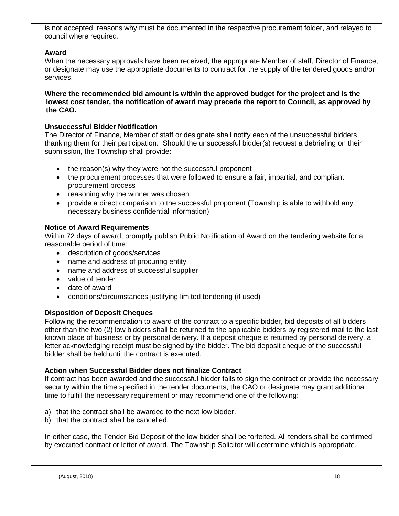is not accepted, reasons why must be documented in the respective procurement folder, and relayed to council where required.

# **Award**

When the necessary approvals have been received, the appropriate Member of staff, Director of Finance, or designate may use the appropriate documents to contract for the supply of the tendered goods and/or services.

#### **Where the recommended bid amount is within the approved budget for the project and is the lowest cost tender, the notification of award may precede the report to Council, as approved by the CAO.**

#### **Unsuccessful Bidder Notification**

The Director of Finance, Member of staff or designate shall notify each of the unsuccessful bidders thanking them for their participation. Should the unsuccessful bidder(s) request a debriefing on their submission, the Township shall provide:

- the reason(s) why they were not the successful proponent
- the procurement processes that were followed to ensure a fair, impartial, and compliant procurement process
- reasoning why the winner was chosen
- provide a direct comparison to the successful proponent (Township is able to withhold any necessary business confidential information)

#### **Notice of Award Requirements**

Within 72 days of award, promptly publish Public Notification of Award on the tendering website for a reasonable period of time:

- description of goods/services
- name and address of procuring entity
- name and address of successful supplier
- value of tender
- date of award
- conditions/circumstances justifying limited tendering (if used)

#### **Disposition of Deposit Cheques**

Following the recommendation to award of the contract to a specific bidder, bid deposits of all bidders other than the two (2) low bidders shall be returned to the applicable bidders by registered mail to the last known place of business or by personal delivery. If a deposit cheque is returned by personal delivery, a letter acknowledging receipt must be signed by the bidder. The bid deposit cheque of the successful bidder shall be held until the contract is executed.

#### **Action when Successful Bidder does not finalize Contract**

If contract has been awarded and the successful bidder fails to sign the contract or provide the necessary security within the time specified in the tender documents, the CAO or designate may grant additional time to fulfill the necessary requirement or may recommend one of the following:

- a) that the contract shall be awarded to the next low bidder.
- b) that the contract shall be cancelled.

In either case, the Tender Bid Deposit of the low bidder shall be forfeited. All tenders shall be confirmed by executed contract or letter of award. The Township Solicitor will determine which is appropriate.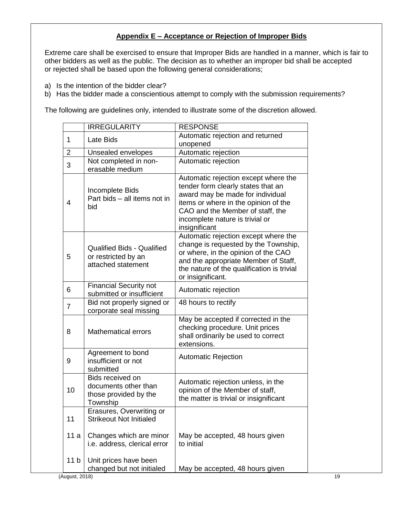# **Appendix E – Acceptance or Rejection of Improper Bids**

Extreme care shall be exercised to ensure that Improper Bids are handled in a manner, which is fair to other bidders as well as the public. The decision as to whether an improper bid shall be accepted or rejected shall be based upon the following general considerations;

- a) Is the intention of the bidder clear?
- b) Has the bidder made a conscientious attempt to comply with the submission requirements?

The following are guidelines only, intended to illustrate some of the discretion allowed.

|                 | <b>IRREGULARITY</b>                                                            | <b>RESPONSE</b>                                                                                                                                                                                                                                |
|-----------------|--------------------------------------------------------------------------------|------------------------------------------------------------------------------------------------------------------------------------------------------------------------------------------------------------------------------------------------|
| 1               | Late Bids                                                                      | Automatic rejection and returned<br>unopened                                                                                                                                                                                                   |
| $\overline{2}$  | Unsealed envelopes                                                             | Automatic rejection                                                                                                                                                                                                                            |
| 3               | Not completed in non-<br>erasable medium                                       | Automatic rejection                                                                                                                                                                                                                            |
| 4               | Incomplete Bids<br>Part bids - all items not in<br>bid                         | Automatic rejection except where the<br>tender form clearly states that an<br>award may be made for individual<br>items or where in the opinion of the<br>CAO and the Member of staff, the<br>incomplete nature is trivial or<br>insignificant |
| 5               | <b>Qualified Bids - Qualified</b><br>or restricted by an<br>attached statement | Automatic rejection except where the<br>change is requested by the Township,<br>or where, in the opinion of the CAO<br>and the appropriate Member of Staff,<br>the nature of the qualification is trivial<br>or insignificant.                 |
| 6               | <b>Financial Security not</b><br>submitted or insufficient                     | Automatic rejection                                                                                                                                                                                                                            |
| $\overline{7}$  | Bid not properly signed or<br>corporate seal missing                           | 48 hours to rectify                                                                                                                                                                                                                            |
| 8               | <b>Mathematical errors</b>                                                     | May be accepted if corrected in the<br>checking procedure. Unit prices<br>shall ordinarily be used to correct<br>extensions.                                                                                                                   |
| 9               | Agreement to bond<br>insufficient or not<br>submitted                          | <b>Automatic Rejection</b>                                                                                                                                                                                                                     |
| 10              | Bids received on<br>documents other than<br>those provided by the<br>Township  | Automatic rejection unless, in the<br>opinion of the Member of staff,<br>the matter is trivial or insignificant                                                                                                                                |
| 11              | Erasures, Overwriting or<br><b>Strikeout Not Initialed</b>                     |                                                                                                                                                                                                                                                |
| 11 a            | Changes which are minor<br>i.e. address, clerical error                        | May be accepted, 48 hours given<br>to initial                                                                                                                                                                                                  |
| 11 <sub>b</sub> | Unit prices have been<br>changed but not initialed                             | May be accepted, 48 hours given                                                                                                                                                                                                                |
| (August, 2018)  |                                                                                |                                                                                                                                                                                                                                                |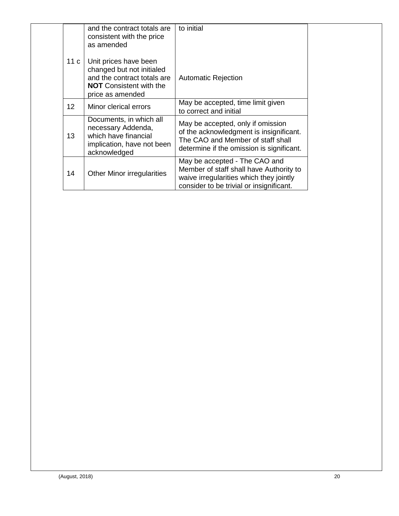|                 | and the contract totals are<br>consistent with the price<br>as amended                                                                  | to initial                                                                                                                                                      |  |
|-----------------|-----------------------------------------------------------------------------------------------------------------------------------------|-----------------------------------------------------------------------------------------------------------------------------------------------------------------|--|
| 11 <sub>c</sub> | Unit prices have been<br>changed but not initialed<br>and the contract totals are<br><b>NOT</b> Consistent with the<br>price as amended | <b>Automatic Rejection</b>                                                                                                                                      |  |
| 12 <sup>2</sup> | Minor clerical errors                                                                                                                   | May be accepted, time limit given<br>to correct and initial                                                                                                     |  |
| 13              | Documents, in which all<br>necessary Addenda,<br>which have financial<br>implication, have not been<br>acknowledged                     | May be accepted, only if omission<br>of the acknowledgment is insignificant.<br>The CAO and Member of staff shall<br>determine if the omission is significant.  |  |
| 14              | <b>Other Minor irregularities</b>                                                                                                       | May be accepted - The CAO and<br>Member of staff shall have Authority to<br>waive irregularities which they jointly<br>consider to be trivial or insignificant. |  |